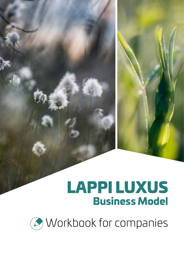# LAPPI LUXUS Business Model

*C* Workbook for companies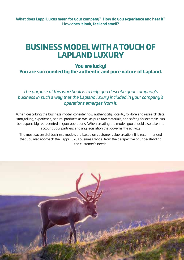**What does Lappi Luxus mean for your company? How do you experience and hear it? How does it look, feel and smell?** 

## BUSINESS MODEL WITH A TOUCH OF LAPLAND LUXURY

## You are lucky! You are surrounded by the authentic and pure nature of Lapland.

*The purpose of this workbook is to help you describe your company's business in such a way that the Lapland luxury included in your company's operations emerges from it.* 

When describing the business model, consider how authenticity, locality, folklore and research data, storytelling, experience, natural products as well as pure raw materials, and safety, for example, can be responsibly represented in your operations. When creating the model, you should also take into account your partners and any legislation that governs the activity.

The most successful business models are based on customer value creation. It is recommended that you also approach the Lappi Luxus business model from the perspective of understanding the customer's needs.

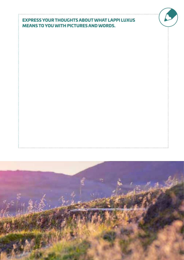## EXPRESS YOUR THOUGHTS ABOUT WHAT LAPPI LUXUS MEANS TO YOU WITH PICTURES AND WORDS.

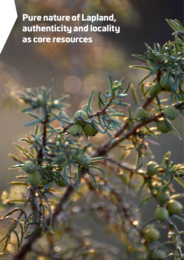## Pure nature of Lapland, authenticity and locality as core resources

4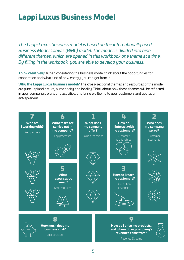## Lappi Luxus Business Model

*The Lappi Luxus business model is based on the internationally used Business Model Canvas (BMC) model. The model is divided into nine different themes, which are opened in this workbook one theme at a time. By filling in the workbook, you are able to develop your business.* 

**Think creatively!** When considering the business model think about the opportunities for cooperation and what kind of new energy you can get from it.

**Why the Lappi Luxus business model?** The cross-sectional themes and resources of the model are pure Lapland nature, authenticity and locality. Think about how these themes will be reflected in your company's plans and activities, and bring wellbeing to your customers and you as an entrepreneur.

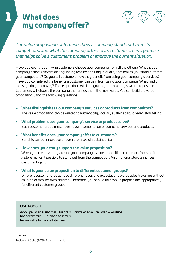## **What does** my company offer?



## *The value proposition determines how a company stands out from its competitors, and what the company offers to its customers. It is a promise that helps solve a customer's problem or improve the current situation.*

Have you ever thought why customers choose your company from all the others? What is your company's most relevant distinguishing feature, the unique quality that makes you stand out from your competitors? Do you tell customers how they benefit from using your company's services? Have you considered the benefits a customer can gain from using your company? What kind of message do you convey? These questions will lead you to your company's value proposition. Customers will choose the company that brings them the most value. You can build the value proposition using the following questions.

- **• What distinguishes your company's services or products from competitors?**  The value proposition can be related to authenticity, locality, sustainability or even storytelling.
- **• What problem does your company's service or product solve?**  Each customer group must have its own combination of company services and products.
- **• What benefits does your company offer to customers?** Benefits can be innovative or even promises of sustainability.
- **• How does your story support the value proposition?** When you create a story around your company's value proposition, customers focus on it. A story makes it possible to stand out from the competition. An emotional story enhances customer loualtu.
- **• What is your value proposition to different customer groups?** Different customer groups have different needs and expectations e.g. couples travelling without children or families with children. Therefore, you should tailor value propositions appropriately for different customer groups.

### **USE GOOGLE**

Arvolupauksen suunnittelu: Kuinka suunnittelet arvolupauksen – YouTube Kohdekokemus – yhteinen näkemys Ruokamatkailun tarinallistaminen

#### Sources

Tuulaniemi, Juha (2013). Palvelumuotoilu.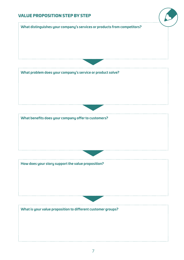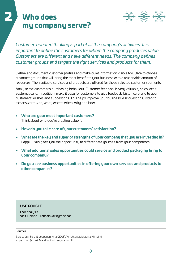## Who does my company serve?

2



*Customer-oriented thinking is part of all the company's activities. It is important to define the customers for whom the company produces value. Customers are different and have different needs. The company defines customer groups and targets the right services and products for them.* 

Define and document customer profiles and make quiet information visible too. Dare to choose customer groups that will bring the most benefit to your business with a reasonable amount of resources. Then suitable services and products are offered for these selected customer segments.

Analyse the customer's purchasing behaviour. Customer feedback is very valuable, so collect it systematically. In addition, make it easy for customers to give feedback. Listen carefully to your customers' wishes and suggestions. This helps improve your business. Ask questions, listen to the answers: who, what, where, when, why and how.

- **• Who are your most important customers?**  Think about who you're creating value for.
- **• How do you take care of your customers' satisfaction?**
- **• What are the key and superior strengths of your company that you are investing in?**  Lappi Luxus gives you the opportunity to differentiate yourself from your competitors.
- **• What additional sales opportunities could service and product packaging bring to your company?**
- **• Do you see business opportunities in offering your own services and products to other companies?**

### **USE GOOGLE**

FAB analusis Visit Finland - kansainvälistymisopas

#### **Sources**

Bergström, Seija & Leppänen, Arja (2015). Yrityksen asiakasmarkkinointi. Rope, Timo (2014). Markkinoinnin segmentointi.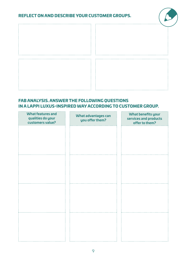## REFLECT ON AND DESCRIBE YOUR CUSTOMER GROUPS.





## FAB ANALYSIS. ANSWER THE FOLLOWING QUESTIONS IN A LAPPI LUXUS-INSPIRED WAY ACCORDING TO CUSTOMER GROUP.

| <b>What features and</b><br>qualities do your<br>customers value? | What advantages can<br>you offer them? | What benefits your<br>services and products<br>offer to them? |
|-------------------------------------------------------------------|----------------------------------------|---------------------------------------------------------------|
|                                                                   |                                        |                                                               |
|                                                                   |                                        |                                                               |
|                                                                   |                                        |                                                               |
|                                                                   |                                        |                                                               |
|                                                                   |                                        |                                                               |
|                                                                   |                                        |                                                               |
|                                                                   |                                        |                                                               |
|                                                                   |                                        |                                                               |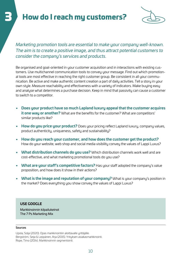## How do I reach my customers?



*Marketing promotion tools are essential to make your company well-known. The aim is to create a positive image, and thus attract potential customers to consider the company's services and products.*

Be organised and goal-oriented in your customer acquisition and in interactions with existing customers. Use multichannel communication tools to convey your message. Find out which promotional tools are most effective in reaching the right customer group. Be consistent in all your communication. Be active and make authentic content creation a part of daily activities. Tell a story in your own style. Measure reachability and effectiveness with a variety of indicators. Make buying easy and analyse what determines a purchase decision. Keep in mind that passivity can cause a customer to switch to a competitor.

- **• Does your product have so much Lapland luxury appeal that the customer acquires it one way or another?** What are the benefits for the customer? What are competitors' similar products like?
- **• How do you price your product?** Does your pricing reflect Lapland luxury, company values, product authenticity, uniqueness, safety and sustainability?
- **• How do you reach your customer, and how does the customer get the product?**  How do your website, web shop and social media visibility convey the values of Lappi Luxus?
- **• What distribution channels do you use?** Which distribution channels work well and are cost-effective, and what marketing promotional tools do you use?
- **• What are your staff's competitive factors?** Has your staff adopted the company's value proposition, and how does it show in their actions?
- **• What is the image and reputation of your company?** What is your company's position in the market? Does everything you show convey the values of Lappi Luxus?

### **USE GOOGLE**

Markkinoinnin kilpailukeinot The 7 Ps Marketing Mix

#### **Sources**

Upola, Solja (2020). Opas markkinointiin aloittavalle yrittäjälle. Bergström, Seija & Leppänen, Arja (2015). Yrityksen asiakasmarkkinointi. Rope, Timo (2014). Markkinoinnin segmentointi.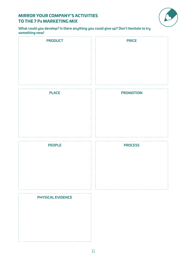## MIRROR YOUR COMPANY'S ACTIVITIES TO THE 7 Ps MARKETING MIX



**What could you develop? Is there anything you could give up? Don't hesitate to try something new!** 

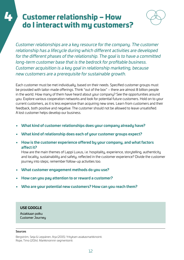## 4 Customer relationship – How do I interact with my customers?



*Customer relationships are a key resource for the company. The customer relationship has a lifecycle during which different activities are developed for the different phases of the relationship. The goal is to have a committed long-term customer base that is the bedrock for profitable business. Customer acquisition is a key goal in relationship marketing, because new customers are a prerequisite for sustainable growth.*

Each customer must be met individually, based on their needs. Specified customer groups must be provided with tailor-made offerings. Think "out of the box" – there are almost 8 billion people in the world. How many of them have heard about your company? See the opportunities around you. Explore various cooperation networks and look for potential future customers. Hold on to your current customers, as it is less expensive than acquiring new ones. Learn from customers and their feedback, both positive and negative. The customer should not be allowed to leave unsatisfied. A lost customer helps develop our business.

- **• What kind of customer relationships does your company already have?**
- **• What kind of relationship does each of your customer groups expect?**
- **• How is the customer experience offered by your company, and what factors affect it?**

How are the main themes of Lappi Luxus, i.e. hospitality, experience, storytelling, authenticity and locality, sustainability and safety, reflected in the customer experience? Divide the customer journey into steps; remember follow-up activities too.

- **• What customer engagement methods do you use?**
- **• How can you pay attention to or reward a customer?**
- **• Who are your potential new customers? How can you reach them?**

### **USE GOOGLE**

Asiakkaan polku Customer Journey

#### Sources

Bergström, Seija & Leppänen, Arja (2015). Yrityksen asiakasmarkkinointi. Rope, Timo (2014). Markkinoinnin segmentointi.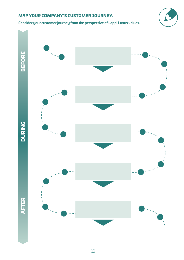## MAP YOUR COMPANY'S CUSTOMER JOURNEY.

**Consider your customer journey from the perspective of Lappi Luxus values.**



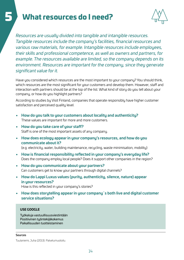## 5 What resources do I need?



*Resources are usually divided into tangible and intangible resources. Tangible resources include the company's facilities, financial resources and various raw materials, for example. Intangible resources include employees, their skills and professional competence, as well as owners and partners, for example. The resources available are limited, so the company depends on its environment. Resources are important for the company, since they generate significant value for it.*

Have you considered which resources are the most important to your company? You should think, which resources are the most significant for your customers and develop them. However, staff and interaction with partners should be at the top of the list. What kind of story do you tell about your company, or how do you highlight partners?

According to studies by Visit Finland, companies that operate responsibly have higher customer satisfaction and perceived quality level.

- **• How do you talk to your customers about locality and authenticity?** These values are important for more and more customers.
- **• How do you take care of your staff?** Staff is one of the most important assets of any company.
- **• How does ecology appear in your company's resources, and how do you communicate about it?**

(e.g. electricity, water, building maintenance, recycling, waste minimisation, mobility)

- **• How is financial responsibility reflected in your company's everyday life?**  Does the company employ local people? Does it support other companies in the region?
- **• How do you communicate about your partners?**  Can customers get to know your partners through digital channels?
- **• How do Lappi Luxus values (purity, authenticity, silence, nature) appear in your resources?**  How is this reflected in your company's stories?
- **• How does storytelling appear in your company´s both live and digital customer service situations?**

### **USE GOOGLE**

Työkaluja vastuullisuusviestintään Positiivinen työntekijäkokemus Paikallisuuden tuotteistaminen

#### Sources

Tuulaniemi, Juha (2013). Palvelumuotoilu.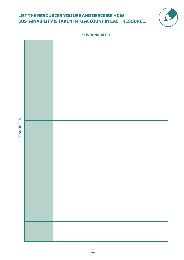## LIST THE RESOURCES YOU USE AND DESCRIBE HOW SUSTAINABILITY IS TAKEN INTO ACCOUNT IN EACH RESOURCE.



#### **SUSTAINABILITY**



**RESOURCES RESOURCES**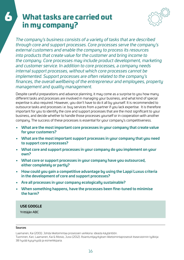## 6 What tasks are carried out in my company?



*The company's business consists of a variety of tasks that are described through core and support processes. Core processes serve the company's external customers and enable the company to process its resources into products that create value for the customer and bring income to the company. Core processes may include product development, marketing and customer service. In addition to core processes, a company needs internal support processes, without which core processes cannot be implemented. Support processes are often related to the company's finances, the overall wellbeing of the entrepreneur and employees, property management and quality management.* 

Despite careful preparations and advance planning, it may come as a surprise to you how many different tasks and processes are involved in managing your business, and what kind of special expertise is also required. However, you don't have to do it all by yourself. It is recommended to outsource tasks and processes i.e. buy services from a partner if you lack expertise. It is therefore important for you to identify the core and support processes that are the most significant to your business, and decide whether to handle those processes yourself or in cooperation with another company. The success of these processes is essential for your company's competitiveness.

- **• What are the most important core processes in your company that create value for your customers?**
- **• What are the most important support processes in your company that you need to support core processes?**
- **• What core and support processes in your company do you implement on your own?**
- **• What core or support processes in your company have you outsourced, either completely or partly?**
- **• How could you gain a competitive advantage by using the Lappi Luxus criteria in the development of core and support processes?**
- **• Are all processes in your company ecologically sustainable?**
- **• When something happens, have the processes been fine-tuned to minimise the harm?**

### **USE GOOGLE**

Yrittäjän ABC

#### Sources

Laamanen, Kai (2001). Johda liiketoimintaa prosessien verkkona: ideasta käytäntöön.

Tuominen, Kari; Laamanen, Kai & Moisio, Jussi (2012). Asiantuntijayrityksen liiketoimintaprosessit itsearvioinnin työkirja: 38 hyvää kysymystä ja esimerkkiparia.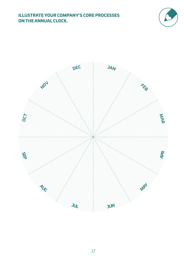## ILLUSTRATE YOUR COMPANY'S CORE PROCESSES ON THE ANNUAL CLOCK.



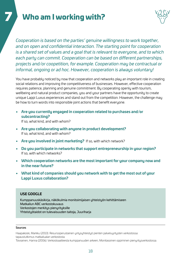## Who am I working with?



*Cooperation is based on the parties' genuine willingness to work together, and on open and confidential interaction. The starting point for cooperation is a shared set of values and a goal that is relevant to everyone, and to which each party can commit. Cooperation can be based on different partnerships, projects and/or coopetition, for example. Cooperation may be contractual or informal, ongoing or ad hoc. However, cooperation is always voluntary!*

You have probably noticed by now that cooperation and networks play an important role in creating social relations and improving the competitiveness of businesses. However, effective cooperation requires patience, planning and genuine commitment. By cooperating openly with tourism, wellbeing and natural product companies, you and your partners have the opportunity to create unique Lappi Luxus experiences and stand out from the competition. However, the challenge may be how to turn words into responsible joint actions that benefit everyone.

**• Are you currently engaged in cooperation related to purchases and/or subcontracting?** 

If so, what kind, and with whom?

- **• Are you collaborating with anyone in product development?**  If so, what kind, and with whom?
- **• Are you involved in joint marketing?** If so, with which network?
- **• Do you participate in networks that support entrepreneurship in your region?**  If so, with which networks?
- **• Which cooperation networks are the most important for your company now and in the near future?**
- **• What kind of companies should you network with to get the most out of your Lappi Luxus collaboration?**

### **USE GOOGLE**

Kumppanuuskäsikirja, näkökulmia monitoimijaisen yhteistyön kehittämiseen Matkailun ABC verkostokuvaus Verkostojen merkitys pienyrityksille Yhteistyötaidot on tulevaisuuden taitoja, Juuriharja

#### Sources

Haapakoski, Markku (2013). Resurssiperustainen yritysyhteistyö pienten palveluyritysten verkostossa: tapaustutkimus matkailualan verkostosta.

Toiviainen, Hanna (2006). Verkostoaatteesta kumppanuuden arkeen; Monitasoinen oppiminen pienyritysverkostossa.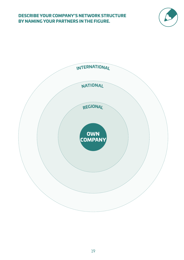### DESCRIBE YOUR COMPANY'S NETWORK STRUCTURE BY NAMING YOUR PARTNERS IN THE FIGURE.



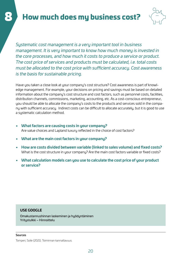## How much does my business cost?



*Systematic cost management is a very important tool in business management. It is very important to know how much money is invested in the core processes, and how much it costs to produce a service or product. The cost price of services and products must be calculated, i.e. total costs must be allocated to the cost price with sufficient accuracy. Cost awareness is the basis for sustainable pricing.*

Have you taken a close look at your company's cost structure? Cost awareness is part of knowledge management. For example, your decisions on pricing and savings must be based on detailed information about the company's cost structure and cost factors, such as personnel costs, facilities, distribution channels, commissions, marketing, accounting, etc. As a cost-conscious entrepreneur, you should be able to allocate the company's costs to the products and services sold in the company with sufficient accuracy. Indirect costs can be difficult to allocate accurately, but it is good to use a systematic calculation method.

- **• What factors are causing costs in your company?**  Are value choices and Lapland luxury reflected in the choice of cost factors?
- **• What are the main cost factors in your company?**
- **• How are costs divided between variable (linked to sales volume) and fixed costs?**  What is the cost structure in your company? Are the main cost factors variable or fixed costs?
- **• What calculation models can you use to calculate the cost price of your product or service?**

### **USE GOOGLE**

Omakustannushinnan laskeminen ja hyödyntäminen Yritystulkki – Hinnoittelu

#### Sources

Tomperi, Soile (2021). Toiminnan kannattavuus.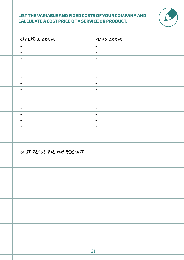## LIST THE VARIABLE AND FIXED COSTS OF YOUR COMPANY AND CALCULATE A COST PRICE OF A SERVICE OR PRODUCT.

| VARIABLE LOSTS               | FINED LOSTS                                                                                                                                       |  |  |
|------------------------------|---------------------------------------------------------------------------------------------------------------------------------------------------|--|--|
| $\overline{\phantom{m}}$     | $\qquad \qquad \blacksquare$                                                                                                                      |  |  |
| $\overline{\phantom{0}}$     | $\qquad \qquad \blacksquare$                                                                                                                      |  |  |
| $\qquad \qquad \blacksquare$ | $\overline{\phantom{m}}$                                                                                                                          |  |  |
| $\overline{\phantom{m}}$     | $\qquad \qquad \blacksquare$                                                                                                                      |  |  |
| $\overline{\phantom{m}}$     | $\overline{\phantom{m}}$                                                                                                                          |  |  |
| $\overline{\phantom{0}}$     | $\qquad \qquad \blacksquare$                                                                                                                      |  |  |
| $\overline{\phantom{m}}$     | $\qquad \qquad \blacksquare$                                                                                                                      |  |  |
| $\overline{\phantom{m}}$     | $\qquad \qquad \blacksquare$                                                                                                                      |  |  |
| $\qquad \qquad \blacksquare$ | $\overline{\phantom{m}}$                                                                                                                          |  |  |
| $\qquad \qquad \blacksquare$ | $\hskip1.6pt\hskip1.6pt\hskip1.6pt\hskip1.6pt\hskip1.6pt\hskip1.6pt\hskip1.6pt\hskip1.6pt\hskip1.6pt\hskip1.6pt\hskip1.6pt\hskip1.6pt\hskip1.6pt$ |  |  |
| $\qquad \qquad \blacksquare$ | $\qquad \qquad \blacksquare$                                                                                                                      |  |  |
| $\qquad \qquad \blacksquare$ | $\qquad \qquad \blacksquare$                                                                                                                      |  |  |
| $\overline{\phantom{m}}$     | $\overline{\phantom{m}}$                                                                                                                          |  |  |
| $\qquad \qquad \blacksquare$ | $\qquad \qquad \blacksquare$                                                                                                                      |  |  |
|                              |                                                                                                                                                   |  |  |
|                              |                                                                                                                                                   |  |  |
|                              |                                                                                                                                                   |  |  |
| LOST PRILE FOR ONE PRODUCT   |                                                                                                                                                   |  |  |
|                              |                                                                                                                                                   |  |  |
|                              |                                                                                                                                                   |  |  |
|                              |                                                                                                                                                   |  |  |
|                              |                                                                                                                                                   |  |  |
|                              |                                                                                                                                                   |  |  |
|                              |                                                                                                                                                   |  |  |
|                              |                                                                                                                                                   |  |  |
|                              |                                                                                                                                                   |  |  |
|                              |                                                                                                                                                   |  |  |
|                              |                                                                                                                                                   |  |  |
|                              |                                                                                                                                                   |  |  |
|                              |                                                                                                                                                   |  |  |
|                              |                                                                                                                                                   |  |  |
|                              |                                                                                                                                                   |  |  |
|                              |                                                                                                                                                   |  |  |
|                              | 21                                                                                                                                                |  |  |
|                              |                                                                                                                                                   |  |  |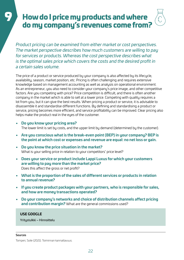## How do I price my products and where do my company's revenues come from?

*Product pricing can be examined from either market or cost perspectives. The market perspective describes how much customers are willing to pay for services or products. Whereas the cost perspective describes what is the optimal sales price which covers the costs and the desired profit in a certain sales volume.*

The price of a product or service produced by your company is also affected by its lifecycle, availability, season, market position, etc. Pricing is often challenging and requires extensive knowledge based on management accounting as well as analysis on operational environment. As an entrepreneur, you also need to consider your company's price image, and other competitive factors. Are you competing with price? Price competition is difficult, and there is often another company in the market which is able to sell at a lower price. Competing with quality requires a lot from you, but it can give the best results. When pricing a product or service, it is advisable to disassemble it and standardise different functions. By defining and standardising a product or service, pricing becomes more efficient, and service profitability can be improved. Clear pricing also helps make the product real in the eyes of the customer.

**• Do you know your pricing area?** 

The lower limit is set by costs, and the upper limit by demand (determined by the customer).

- **• Are you conscious what is the break-even point (BEP) in your company? BEP is the point at which cost or expenses and revenue are equal: no net loss or gain.**
- **• Do you know the price situation in the market?**  What is your selling price in relation to your competitors' price level?
- **• Does your service or product include Lappi Luxus for which your customers are willing to pay more than the market price?**  Does this affect the gross or net profit?
- **• What is the proportion of the sales of different services or products in relation to annual revenue?**
- **• If you create product packages with your partners, who is responsible for sales, and how are money transactions operated?**
- **• Do your company's networks and choice of distribution channels affect pricing and contribution margin?** What are the general commissions used?

### **USE GOOGLE**

Yritystulkki – Hinnoittelu

### Sources

Tomperi, Soile (2021). Toiminnan kannattavuus.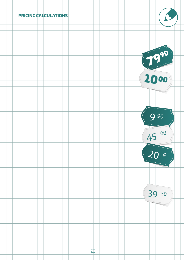